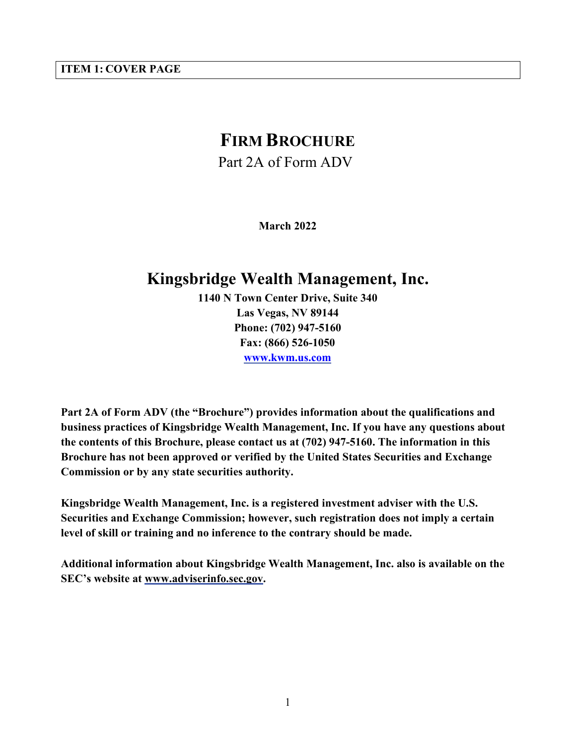# <span id="page-0-0"></span>**ITEM 1: COVER PAGE**

# **FIRM BROCHURE**

Part 2A of Form ADV

**March 2022**

# **Kingsbridge Wealth Management, Inc.**

**1140 N Town Center Drive, Suite 340 Las Vegas, NV 89144 Phone: (702) 947-5160 Fax: (866) 526-1050 [www.kwm.us.com](http://www.kwm.us.com/)**

**Part 2A of Form ADV (the "Brochure") provides information about the qualifications and business practices of Kingsbridge Wealth Management, Inc. If you have any questions about the contents of this Brochure, please contact us at (702) 947-5160. The information in this Brochure has not been approved or verified by the United States Securities and Exchange Commission or by any state securities authority.**

**Kingsbridge Wealth Management, Inc. is a registered investment adviser with the U.S. Securities and Exchange Commission; however, such registration does not imply a certain level of skill or training and no inference to the contrary should be made.**

**Additional information about Kingsbridge Wealth Management, Inc. also is available on the SEC's website at [www.adviserinfo.sec.gov.](http://www.adviserinfo.sec.gov/)**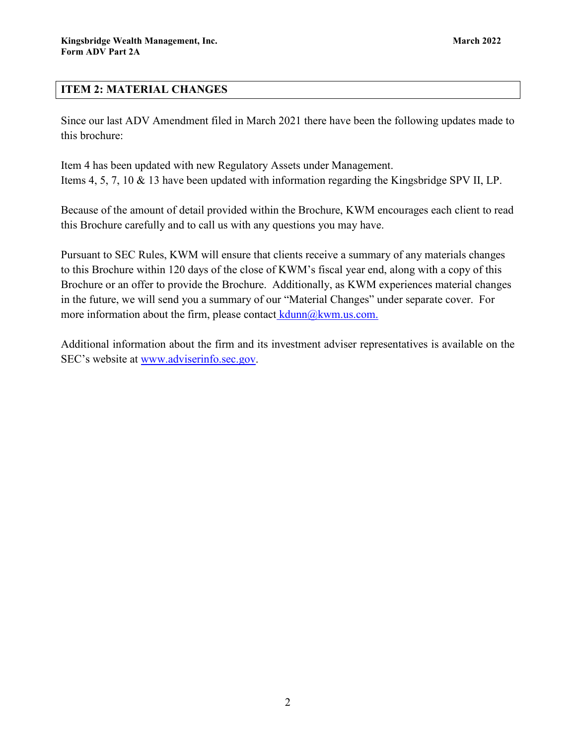# <span id="page-1-0"></span>**ITEM 2: MATERIAL CHANGES**

Since our last ADV Amendment filed in March 2021 there have been the following updates made to this brochure:

Item 4 has been updated with new Regulatory Assets under Management. Items 4, 5, 7, 10 & 13 have been updated with information regarding the Kingsbridge SPV II, LP.

Because of the amount of detail provided within the Brochure, KWM encourages each client to read this Brochure carefully and to call us with any questions you may have.

Pursuant to SEC Rules, KWM will ensure that clients receive a summary of any materials changes to this Brochure within 120 days of the close of KWM's fiscal year end, along with a copy of this Brochure or an offer to provide the Brochure. Additionally, as KWM experiences material changes in the future, we will send you a summary of our "Material Changes" under separate cover. For more information about the firm, please contact  $\frac{\text{k}_{\text{d}}}{\text{d}_{\text{d}} \times \text{d}_{\text{d}}}$ .

Additional information about the firm and its investment adviser representatives is available on the SEC's website at www.adviserinfo.sec.gov.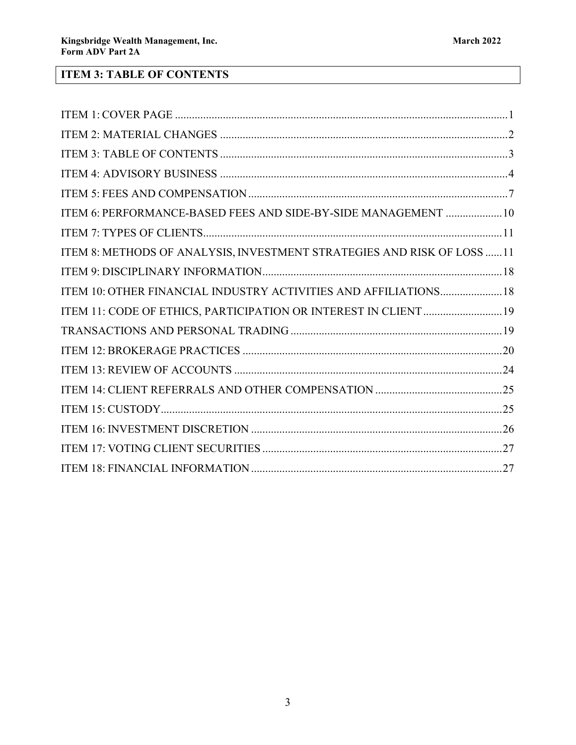# <span id="page-2-0"></span>**ITEM 3: TABLE OF CONTENTS**

| ITEM 6: PERFORMANCE-BASED FEES AND SIDE-BY-SIDE MANAGEMENT  10         |
|------------------------------------------------------------------------|
|                                                                        |
| ITEM 8: METHODS OF ANALYSIS, INVESTMENT STRATEGIES AND RISK OF LOSS 11 |
|                                                                        |
| ITEM 10: OTHER FINANCIAL INDUSTRY ACTIVITIES AND AFFILIATIONS 18       |
| ITEM 11: CODE OF ETHICS, PARTICIPATION OR INTEREST IN CLIENT 19        |
|                                                                        |
|                                                                        |
|                                                                        |
|                                                                        |
|                                                                        |
|                                                                        |
|                                                                        |
|                                                                        |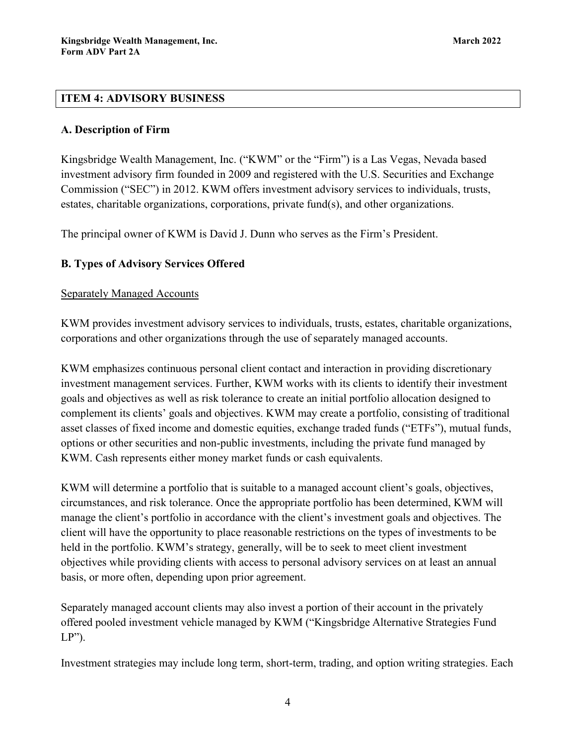# <span id="page-3-0"></span>**ITEM 4: ADVISORY BUSINESS**

# **A. Description of Firm**

Kingsbridge Wealth Management, Inc. ("KWM" or the "Firm") is a Las Vegas, Nevada based investment advisory firm founded in 2009 and registered with the U.S. Securities and Exchange Commission ("SEC") in 2012. KWM offers investment advisory services to individuals, trusts, estates, charitable organizations, corporations, private fund(s), and other organizations.

The principal owner of KWM is David J. Dunn who serves as the Firm's President.

# **B. Types of Advisory Services Offered**

# Separately Managed Accounts

KWM provides investment advisory services to individuals, trusts, estates, charitable organizations, corporations and other organizations through the use of separately managed accounts.

KWM emphasizes continuous personal client contact and interaction in providing discretionary investment management services. Further, KWM works with its clients to identify their investment goals and objectives as well as risk tolerance to create an initial portfolio allocation designed to complement its clients' goals and objectives. KWM may create a portfolio, consisting of traditional asset classes of fixed income and domestic equities, exchange traded funds ("ETFs"), mutual funds, options or other securities and non-public investments, including the private fund managed by KWM. Cash represents either money market funds or cash equivalents.

KWM will determine a portfolio that is suitable to a managed account client's goals, objectives, circumstances, and risk tolerance. Once the appropriate portfolio has been determined, KWM will manage the client's portfolio in accordance with the client's investment goals and objectives. The client will have the opportunity to place reasonable restrictions on the types of investments to be held in the portfolio. KWM's strategy, generally, will be to seek to meet client investment objectives while providing clients with access to personal advisory services on at least an annual basis, or more often, depending upon prior agreement.

Separately managed account clients may also invest a portion of their account in the privately offered pooled investment vehicle managed by KWM ("Kingsbridge Alternative Strategies Fund  $LP$ ").

Investment strategies may include long term, short-term, trading, and option writing strategies. Each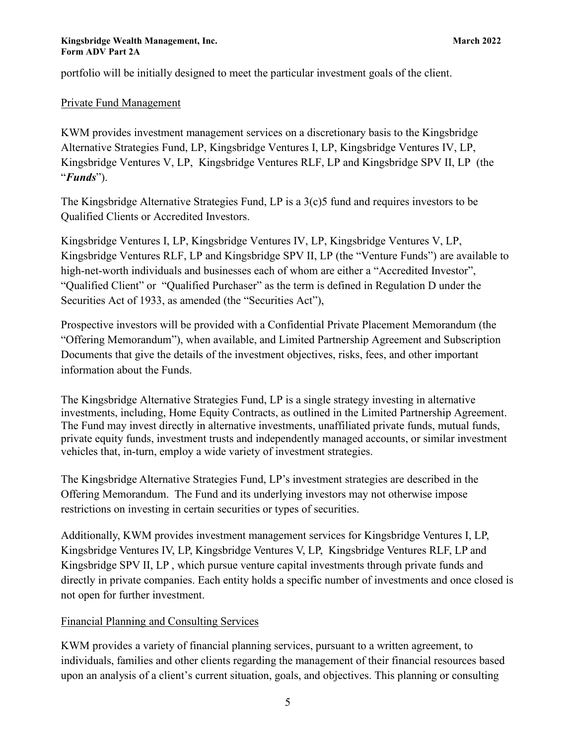portfolio will be initially designed to meet the particular investment goals of the client.

# Private Fund Management

KWM provides investment management services on a discretionary basis to the Kingsbridge Alternative Strategies Fund, LP, Kingsbridge Ventures I, LP, Kingsbridge Ventures IV, LP, Kingsbridge Ventures V, LP, Kingsbridge Ventures RLF, LP and Kingsbridge SPV II, LP (the "*Funds*").

The Kingsbridge Alternative Strategies Fund, LP is a 3(c)5 fund and requires investors to be Qualified Clients or Accredited Investors.

Kingsbridge Ventures I, LP, Kingsbridge Ventures IV, LP, Kingsbridge Ventures V, LP, Kingsbridge Ventures RLF, LP and Kingsbridge SPV II, LP (the "Venture Funds") are available to high-net-worth individuals and businesses each of whom are either a "Accredited Investor", "Qualified Client" or "Qualified Purchaser" as the term is defined in Regulation D under the Securities Act of 1933, as amended (the "Securities Act"),

Prospective investors will be provided with a Confidential Private Placement Memorandum (the "Offering Memorandum"), when available, and Limited Partnership Agreement and Subscription Documents that give the details of the investment objectives, risks, fees, and other important information about the Funds.

The Kingsbridge Alternative Strategies Fund, LP is a single strategy investing in alternative investments, including, Home Equity Contracts, as outlined in the Limited Partnership Agreement. The Fund may invest directly in alternative investments, unaffiliated private funds, mutual funds, private equity funds, investment trusts and independently managed accounts, or similar investment vehicles that, in-turn, employ a wide variety of investment strategies.

The Kingsbridge Alternative Strategies Fund, LP's investment strategies are described in the Offering Memorandum. The Fund and its underlying investors may not otherwise impose restrictions on investing in certain securities or types of securities.

Additionally, KWM provides investment management services for Kingsbridge Ventures I, LP, Kingsbridge Ventures IV, LP, Kingsbridge Ventures V, LP, Kingsbridge Ventures RLF, LP and Kingsbridge SPV II, LP , which pursue venture capital investments through private funds and directly in private companies. Each entity holds a specific number of investments and once closed is not open for further investment.

# Financial Planning and Consulting Services

KWM provides a variety of financial planning services, pursuant to a written agreement, to individuals, families and other clients regarding the management of their financial resources based upon an analysis of a client's current situation, goals, and objectives. This planning or consulting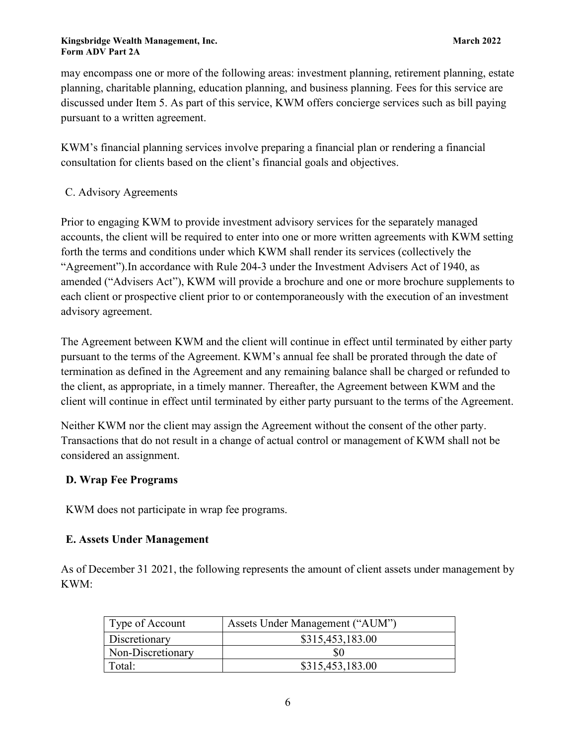may encompass one or more of the following areas: investment planning, retirement planning, estate planning, charitable planning, education planning, and business planning. Fees for this service are discussed under Item 5. As part of this service, KWM offers concierge services such as bill paying pursuant to a written agreement.

KWM's financial planning services involve preparing a financial plan or rendering a financial consultation for clients based on the client's financial goals and objectives.

# C. Advisory Agreements

Prior to engaging KWM to provide investment advisory services for the separately managed accounts, the client will be required to enter into one or more written agreements with KWM setting forth the terms and conditions under which KWM shall render its services (collectively the "Agreement").In accordance with Rule 204-3 under the Investment Advisers Act of 1940, as amended ("Advisers Act"), KWM will provide a brochure and one or more brochure supplements to each client or prospective client prior to or contemporaneously with the execution of an investment advisory agreement.

The Agreement between KWM and the client will continue in effect until terminated by either party pursuant to the terms of the Agreement. KWM's annual fee shall be prorated through the date of termination as defined in the Agreement and any remaining balance shall be charged or refunded to the client, as appropriate, in a timely manner. Thereafter, the Agreement between KWM and the client will continue in effect until terminated by either party pursuant to the terms of the Agreement.

Neither KWM nor the client may assign the Agreement without the consent of the other party. Transactions that do not result in a change of actual control or management of KWM shall not be considered an assignment.

# **D. Wrap Fee Programs**

KWM does not participate in wrap fee programs.

# **E. Assets Under Management**

As of December 31 2021, the following represents the amount of client assets under management by KWM:

| Type of Account   | Assets Under Management ("AUM") |
|-------------------|---------------------------------|
| Discretionary     | \$315,453,183.00                |
| Non-Discretionary | \$0                             |
| Total:            | \$315,453,183.00                |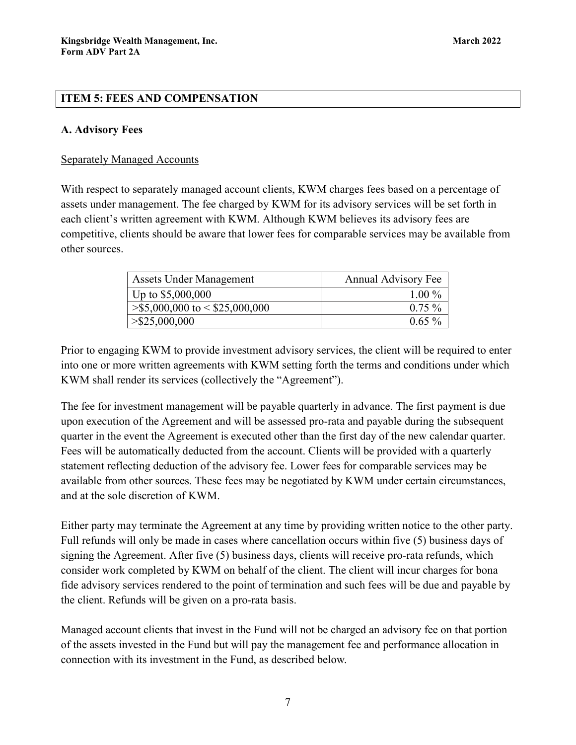# <span id="page-6-0"></span>**ITEM 5: FEES AND COMPENSATION**

# **A. Advisory Fees**

## Separately Managed Accounts

With respect to separately managed account clients, KWM charges fees based on a percentage of assets under management. The fee charged by KWM for its advisory services will be set forth in each client's written agreement with KWM. Although KWM believes its advisory fees are competitive, clients should be aware that lower fees for comparable services may be available from other sources.

| <b>Assets Under Management</b>   | <b>Annual Advisory Fee</b> |
|----------------------------------|----------------------------|
| Up to $$5,000,000$               | $1.00\%$                   |
| $>\$ 5,000,000 to < \$25,000,000 | $0.75\%$                   |
| $>\$25,000,000$                  | $0.65\%$                   |

Prior to engaging KWM to provide investment advisory services, the client will be required to enter into one or more written agreements with KWM setting forth the terms and conditions under which KWM shall render its services (collectively the "Agreement").

The fee for investment management will be payable quarterly in advance. The first payment is due upon execution of the Agreement and will be assessed pro-rata and payable during the subsequent quarter in the event the Agreement is executed other than the first day of the new calendar quarter. Fees will be automatically deducted from the account. Clients will be provided with a quarterly statement reflecting deduction of the advisory fee. Lower fees for comparable services may be available from other sources. These fees may be negotiated by KWM under certain circumstances, and at the sole discretion of KWM.

Either party may terminate the Agreement at any time by providing written notice to the other party. Full refunds will only be made in cases where cancellation occurs within five (5) business days of signing the Agreement. After five (5) business days, clients will receive pro-rata refunds, which consider work completed by KWM on behalf of the client. The client will incur charges for bona fide advisory services rendered to the point of termination and such fees will be due and payable by the client. Refunds will be given on a pro-rata basis.

Managed account clients that invest in the Fund will not be charged an advisory fee on that portion of the assets invested in the Fund but will pay the management fee and performance allocation in connection with its investment in the Fund, as described below.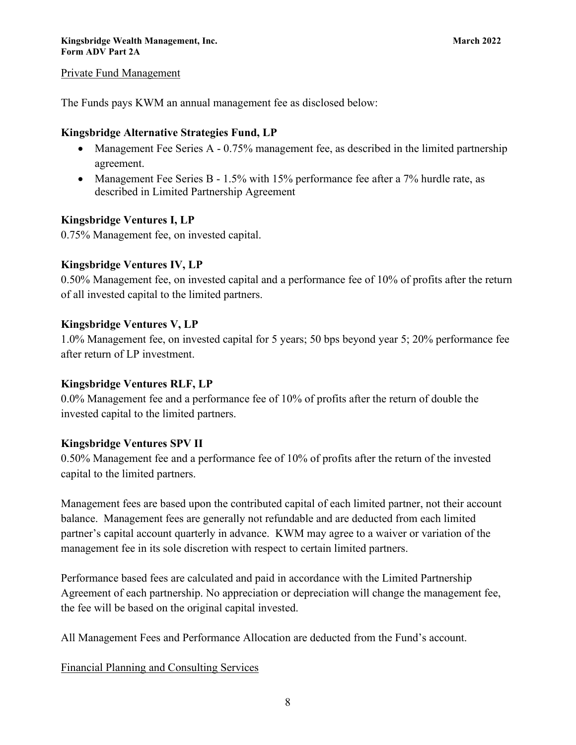### Private Fund Management

The Funds pays KWM an annual management fee as disclosed below:

## **Kingsbridge Alternative Strategies Fund, LP**

- Management Fee Series A 0.75% management fee, as described in the limited partnership agreement.
- Management Fee Series B 1.5% with 15% performance fee after a 7% hurdle rate, as described in Limited Partnership Agreement

# **Kingsbridge Ventures I, LP**

0.75% Management fee, on invested capital.

### **Kingsbridge Ventures IV, LP**

0.50% Management fee, on invested capital and a performance fee of 10% of profits after the return of all invested capital to the limited partners.

### **Kingsbridge Ventures V, LP**

1.0% Management fee, on invested capital for 5 years; 50 bps beyond year 5; 20% performance fee after return of LP investment.

### **Kingsbridge Ventures RLF, LP**

0.0% Management fee and a performance fee of 10% of profits after the return of double the invested capital to the limited partners.

### **Kingsbridge Ventures SPV II**

0.50% Management fee and a performance fee of 10% of profits after the return of the invested capital to the limited partners.

Management fees are based upon the contributed capital of each limited partner, not their account balance. Management fees are generally not refundable and are deducted from each limited partner's capital account quarterly in advance. KWM may agree to a waiver or variation of the management fee in its sole discretion with respect to certain limited partners.

Performance based fees are calculated and paid in accordance with the Limited Partnership Agreement of each partnership. No appreciation or depreciation will change the management fee, the fee will be based on the original capital invested.

All Management Fees and Performance Allocation are deducted from the Fund's account.

Financial Planning and Consulting Services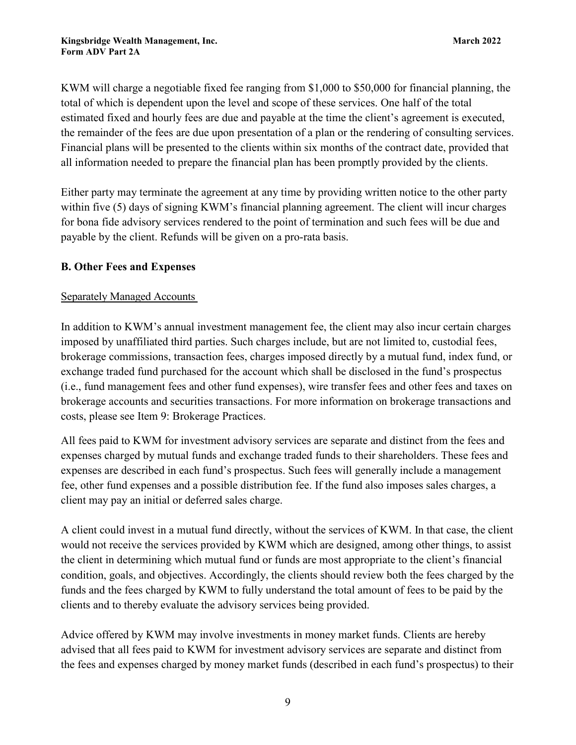KWM will charge a negotiable fixed fee ranging from \$1,000 to \$50,000 for financial planning, the total of which is dependent upon the level and scope of these services. One half of the total estimated fixed and hourly fees are due and payable at the time the client's agreement is executed, the remainder of the fees are due upon presentation of a plan or the rendering of consulting services. Financial plans will be presented to the clients within six months of the contract date, provided that all information needed to prepare the financial plan has been promptly provided by the clients.

Either party may terminate the agreement at any time by providing written notice to the other party within five (5) days of signing KWM's financial planning agreement. The client will incur charges for bona fide advisory services rendered to the point of termination and such fees will be due and payable by the client. Refunds will be given on a pro-rata basis.

# **B. Other Fees and Expenses**

# Separately Managed Accounts

In addition to KWM's annual investment management fee, the client may also incur certain charges imposed by unaffiliated third parties. Such charges include, but are not limited to, custodial fees, brokerage commissions, transaction fees, charges imposed directly by a mutual fund, index fund, or exchange traded fund purchased for the account which shall be disclosed in the fund's prospectus (i.e., fund management fees and other fund expenses), wire transfer fees and other fees and taxes on brokerage accounts and securities transactions. For more information on brokerage transactions and costs, please see Item 9: Brokerage Practices.

All fees paid to KWM for investment advisory services are separate and distinct from the fees and expenses charged by mutual funds and exchange traded funds to their shareholders. These fees and expenses are described in each fund's prospectus. Such fees will generally include a management fee, other fund expenses and a possible distribution fee. If the fund also imposes sales charges, a client may pay an initial or deferred sales charge.

A client could invest in a mutual fund directly, without the services of KWM. In that case, the client would not receive the services provided by KWM which are designed, among other things, to assist the client in determining which mutual fund or funds are most appropriate to the client's financial condition, goals, and objectives. Accordingly, the clients should review both the fees charged by the funds and the fees charged by KWM to fully understand the total amount of fees to be paid by the clients and to thereby evaluate the advisory services being provided.

Advice offered by KWM may involve investments in money market funds. Clients are hereby advised that all fees paid to KWM for investment advisory services are separate and distinct from the fees and expenses charged by money market funds (described in each fund's prospectus) to their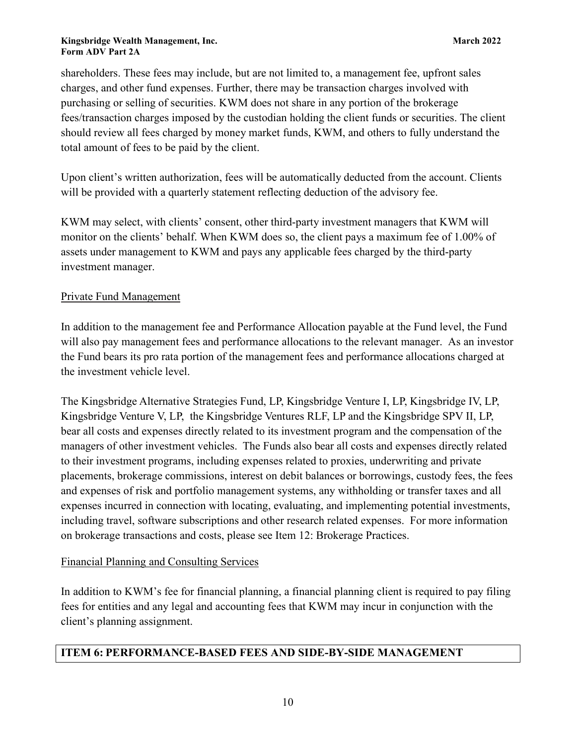shareholders. These fees may include, but are not limited to, a management fee, upfront sales charges, and other fund expenses. Further, there may be transaction charges involved with purchasing or selling of securities. KWM does not share in any portion of the brokerage fees/transaction charges imposed by the custodian holding the client funds or securities. The client should review all fees charged by money market funds, KWM, and others to fully understand the total amount of fees to be paid by the client.

Upon client's written authorization, fees will be automatically deducted from the account. Clients will be provided with a quarterly statement reflecting deduction of the advisory fee.

KWM may select, with clients' consent, other third-party investment managers that KWM will monitor on the clients' behalf. When KWM does so, the client pays a maximum fee of 1.00% of assets under management to KWM and pays any applicable fees charged by the third-party investment manager.

# Private Fund Management

In addition to the management fee and Performance Allocation payable at the Fund level, the Fund will also pay management fees and performance allocations to the relevant manager. As an investor the Fund bears its pro rata portion of the management fees and performance allocations charged at the investment vehicle level.

The Kingsbridge Alternative Strategies Fund, LP, Kingsbridge Venture I, LP, Kingsbridge IV, LP, Kingsbridge Venture V, LP, the Kingsbridge Ventures RLF, LP and the Kingsbridge SPV II, LP, bear all costs and expenses directly related to its investment program and the compensation of the managers of other investment vehicles. The Funds also bear all costs and expenses directly related to their investment programs, including expenses related to proxies, underwriting and private placements, brokerage commissions, interest on debit balances or borrowings, custody fees, the fees and expenses of risk and portfolio management systems, any withholding or transfer taxes and all expenses incurred in connection with locating, evaluating, and implementing potential investments, including travel, software subscriptions and other research related expenses. For more information on brokerage transactions and costs, please see Item 12: Brokerage Practices.

# Financial Planning and Consulting Services

In addition to KWM's fee for financial planning, a financial planning client is required to pay filing fees for entities and any legal and accounting fees that KWM may incur in conjunction with the client's planning assignment.

# <span id="page-9-0"></span>**ITEM 6: PERFORMANCE-BASED FEES AND SIDE-BY-SIDE MANAGEMENT**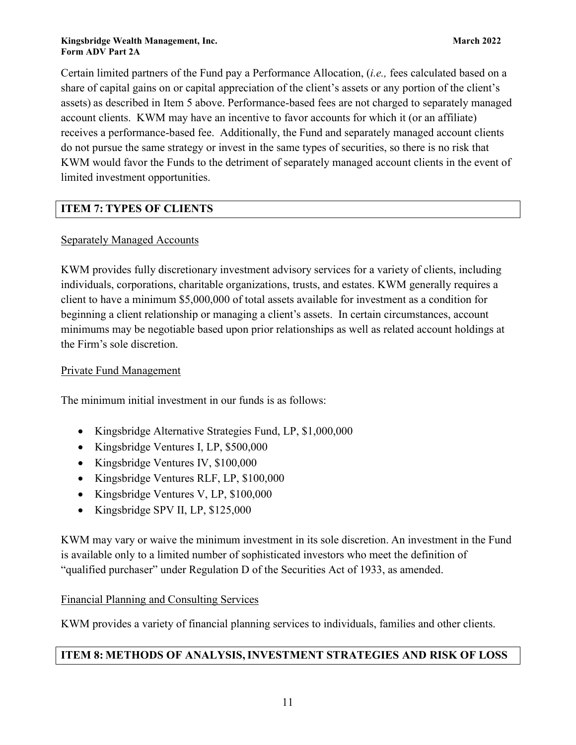Certain limited partners of the Fund pay a Performance Allocation, (*i.e.,* fees calculated based on a share of capital gains on or capital appreciation of the client's assets or any portion of the client's assets) as described in Item 5 above. Performance-based fees are not charged to separately managed account clients. KWM may have an incentive to favor accounts for which it (or an affiliate) receives a performance-based fee. Additionally, the Fund and separately managed account clients do not pursue the same strategy or invest in the same types of securities, so there is no risk that KWM would favor the Funds to the detriment of separately managed account clients in the event of limited investment opportunities.

# <span id="page-10-0"></span>**ITEM 7: TYPES OF CLIENTS**

# Separately Managed Accounts

KWM provides fully discretionary investment advisory services for a variety of clients, including individuals, corporations, charitable organizations, trusts, and estates. KWM generally requires a client to have a minimum \$5,000,000 of total assets available for investment as a condition for beginning a client relationship or managing a client's assets. In certain circumstances, account minimums may be negotiable based upon prior relationships as well as related account holdings at the Firm's sole discretion.

# Private Fund Management

The minimum initial investment in our funds is as follows:

- Kingsbridge Alternative Strategies Fund, LP, \$1,000,000
- Kingsbridge Ventures I, LP, \$500,000
- Kingsbridge Ventures IV, \$100,000
- Kingsbridge Ventures RLF, LP, \$100,000
- Kingsbridge Ventures V, LP, \$100,000
- Kingsbridge SPV II, LP, \$125,000

KWM may vary or waive the minimum investment in its sole discretion. An investment in the Fund is available only to a limited number of sophisticated investors who meet the definition of "qualified purchaser" under Regulation D of the Securities Act of 1933, as amended.

# Financial Planning and Consulting Services

KWM provides a variety of financial planning services to individuals, families and other clients.

# <span id="page-10-1"></span>**ITEM 8: METHODS OF ANALYSIS,INVESTMENT STRATEGIES AND RISK OF LOSS**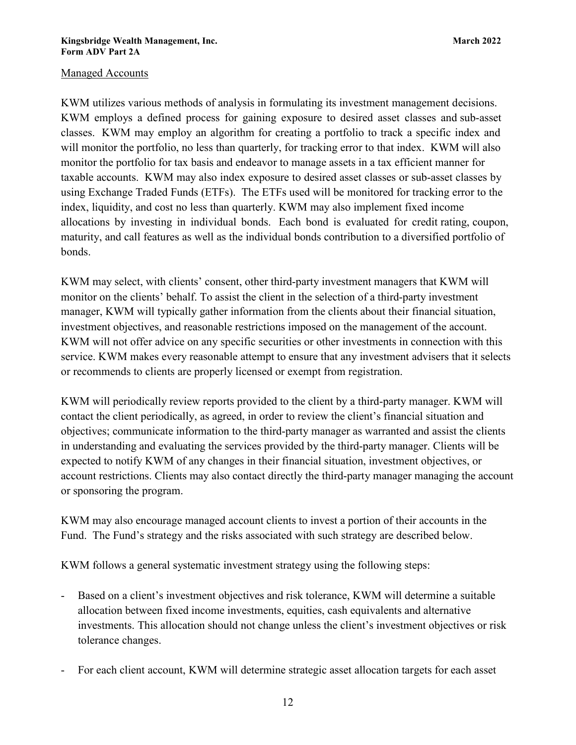### Managed Accounts

KWM utilizes various methods of analysis in formulating its investment management decisions. KWM employs a defined process for gaining exposure to desired asset classes and sub-asset classes. KWM may employ an algorithm for creating a portfolio to track a specific index and will monitor the portfolio, no less than quarterly, for tracking error to that index. KWM will also monitor the portfolio for tax basis and endeavor to manage assets in a tax efficient manner for taxable accounts. KWM may also index exposure to desired asset classes or sub-asset classes by using Exchange Traded Funds (ETFs). The ETFs used will be monitored for tracking error to the index, liquidity, and cost no less than quarterly. KWM may also implement fixed income allocations by investing in individual bonds. Each bond is evaluated for credit rating, coupon, maturity, and call features as well as the individual bonds contribution to a diversified portfolio of bonds.

KWM may select, with clients' consent, other third-party investment managers that KWM will monitor on the clients' behalf. To assist the client in the selection of a third-party investment manager, KWM will typically gather information from the clients about their financial situation, investment objectives, and reasonable restrictions imposed on the management of the account. KWM will not offer advice on any specific securities or other investments in connection with this service. KWM makes every reasonable attempt to ensure that any investment advisers that it selects or recommends to clients are properly licensed or exempt from registration.

KWM will periodically review reports provided to the client by a third-party manager. KWM will contact the client periodically, as agreed, in order to review the client's financial situation and objectives; communicate information to the third-party manager as warranted and assist the clients in understanding and evaluating the services provided by the third-party manager. Clients will be expected to notify KWM of any changes in their financial situation, investment objectives, or account restrictions. Clients may also contact directly the third-party manager managing the account or sponsoring the program.

KWM may also encourage managed account clients to invest a portion of their accounts in the Fund. The Fund's strategy and the risks associated with such strategy are described below.

KWM follows a general systematic investment strategy using the following steps:

- Based on a client's investment objectives and risk tolerance, KWM will determine a suitable allocation between fixed income investments, equities, cash equivalents and alternative investments. This allocation should not change unless the client's investment objectives or risk tolerance changes.
- For each client account, KWM will determine strategic asset allocation targets for each asset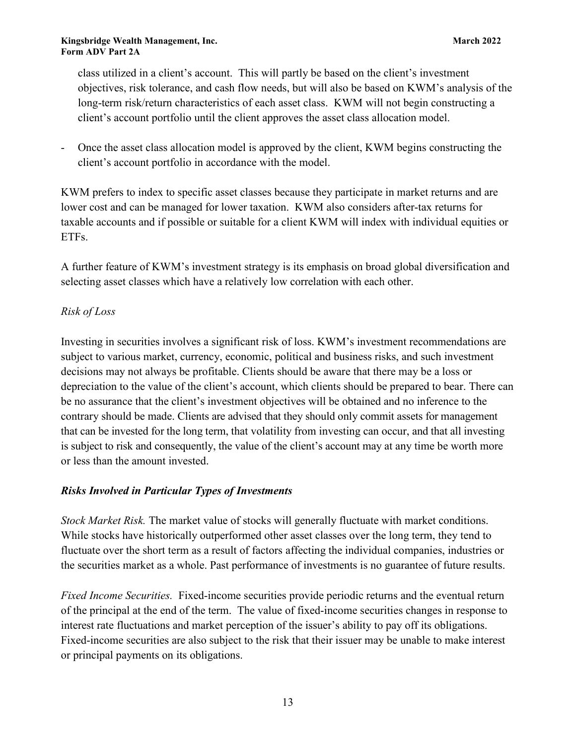class utilized in a client's account. This will partly be based on the client's investment objectives, risk tolerance, and cash flow needs, but will also be based on KWM's analysis of the long-term risk/return characteristics of each asset class. KWM will not begin constructing a client's account portfolio until the client approves the asset class allocation model.

- Once the asset class allocation model is approved by the client, KWM begins constructing the client's account portfolio in accordance with the model.

KWM prefers to index to specific asset classes because they participate in market returns and are lower cost and can be managed for lower taxation. KWM also considers after-tax returns for taxable accounts and if possible or suitable for a client KWM will index with individual equities or ETFs.

A further feature of KWM's investment strategy is its emphasis on broad global diversification and selecting asset classes which have a relatively low correlation with each other.

# *Risk of Loss*

Investing in securities involves a significant risk of loss. KWM's investment recommendations are subject to various market, currency, economic, political and business risks, and such investment decisions may not always be profitable. Clients should be aware that there may be a loss or depreciation to the value of the client's account, which clients should be prepared to bear. There can be no assurance that the client's investment objectives will be obtained and no inference to the contrary should be made. Clients are advised that they should only commit assets for management that can be invested for the long term, that volatility from investing can occur, and that all investing is subject to risk and consequently, the value of the client's account may at any time be worth more or less than the amount invested.

# *Risks Involved in Particular Types of Investments*

*Stock Market Risk.* The market value of stocks will generally fluctuate with market conditions. While stocks have historically outperformed other asset classes over the long term, they tend to fluctuate over the short term as a result of factors affecting the individual companies, industries or the securities market as a whole. Past performance of investments is no guarantee of future results.

*Fixed Income Securities.* Fixed-income securities provide periodic returns and the eventual return of the principal at the end of the term. The value of fixed-income securities changes in response to interest rate fluctuations and market perception of the issuer's ability to pay off its obligations. Fixed-income securities are also subject to the risk that their issuer may be unable to make interest or principal payments on its obligations.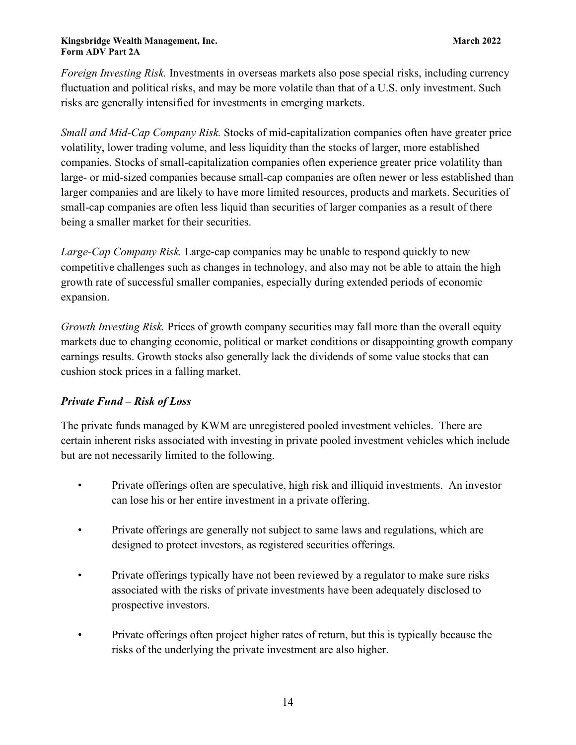*Foreign Investing Risk.* Investments in overseas markets also pose special risks, including currency fluctuation and political risks, and may be more volatile than that of a U.S. only investment. Such risks are generally intensified for investments in emerging markets.

*Small and Mid-Cap Company Risk.* Stocks of mid-capitalization companies often have greater price volatility, lower trading volume, and less liquidity than the stocks of larger, more established companies. Stocks of small-capitalization companies often experience greater price volatility than large- or mid-sized companies because small-cap companies are often newer or less established than larger companies and are likely to have more limited resources, products and markets. Securities of small-cap companies are often less liquid than securities of larger companies as a result of there being a smaller market for their securities.

*Large-Cap Company Risk.* Large-cap companies may be unable to respond quickly to new competitive challenges such as changes in technology, and also may not be able to attain the high growth rate of successful smaller companies, especially during extended periods of economic expansion.

*Growth Investing Risk.* Prices of growth company securities may fall more than the overall equity markets due to changing economic, political or market conditions or disappointing growth company earnings results. Growth stocks also generally lack the dividends of some value stocks that can cushion stock prices in a falling market.

# *Private Fund – Risk of Loss*

The private funds managed by KWM are unregistered pooled investment vehicles. There are certain inherent risks associated with investing in private pooled investment vehicles which include but are not necessarily limited to the following.

- Private offerings often are speculative, high risk and illiquid investments. An investor can lose his or her entire investment in a private offering.
- Private offerings are generally not subject to same laws and regulations, which are designed to protect investors, as registered securities offerings.
- Private offerings typically have not been reviewed by a regulator to make sure risks associated with the risks of private investments have been adequately disclosed to prospective investors.
- Private offerings often project higher rates of return, but this is typically because the risks of the underlying the private investment are also higher.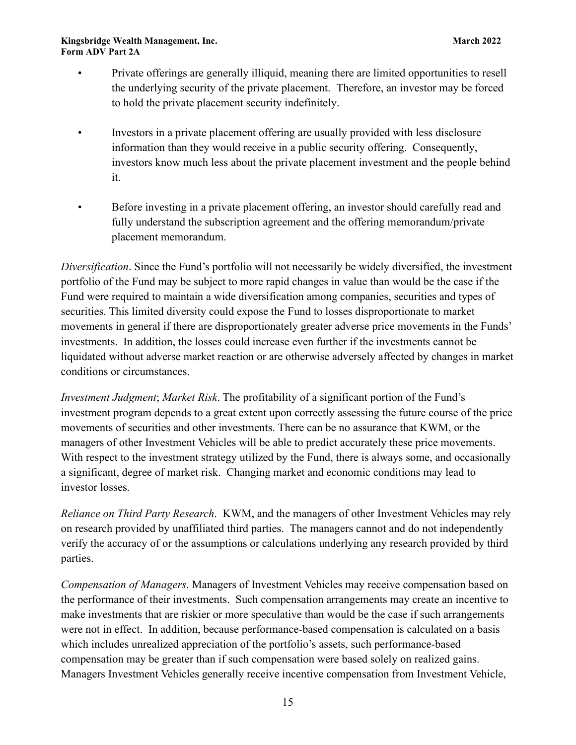- Private offerings are generally illiquid, meaning there are limited opportunities to resell the underlying security of the private placement. Therefore, an investor may be forced to hold the private placement security indefinitely.
- Investors in a private placement offering are usually provided with less disclosure information than they would receive in a public security offering. Consequently, investors know much less about the private placement investment and the people behind it.
- Before investing in a private placement offering, an investor should carefully read and fully understand the subscription agreement and the offering memorandum/private placement memorandum.

*Diversification*. Since the Fund's portfolio will not necessarily be widely diversified, the investment portfolio of the Fund may be subject to more rapid changes in value than would be the case if the Fund were required to maintain a wide diversification among companies, securities and types of securities. This limited diversity could expose the Fund to losses disproportionate to market movements in general if there are disproportionately greater adverse price movements in the Funds' investments. In addition, the losses could increase even further if the investments cannot be liquidated without adverse market reaction or are otherwise adversely affected by changes in market conditions or circumstances.

*Investment Judgment*; *Market Risk*. The profitability of a significant portion of the Fund's investment program depends to a great extent upon correctly assessing the future course of the price movements of securities and other investments. There can be no assurance that KWM, or the managers of other Investment Vehicles will be able to predict accurately these price movements. With respect to the investment strategy utilized by the Fund, there is always some, and occasionally a significant, degree of market risk. Changing market and economic conditions may lead to investor losses.

*Reliance on Third Party Research*. KWM, and the managers of other Investment Vehicles may rely on research provided by unaffiliated third parties. The managers cannot and do not independently verify the accuracy of or the assumptions or calculations underlying any research provided by third parties.

*Compensation of Managers*. Managers of Investment Vehicles may receive compensation based on the performance of their investments. Such compensation arrangements may create an incentive to make investments that are riskier or more speculative than would be the case if such arrangements were not in effect. In addition, because performance-based compensation is calculated on a basis which includes unrealized appreciation of the portfolio's assets, such performance-based compensation may be greater than if such compensation were based solely on realized gains. Managers Investment Vehicles generally receive incentive compensation from Investment Vehicle,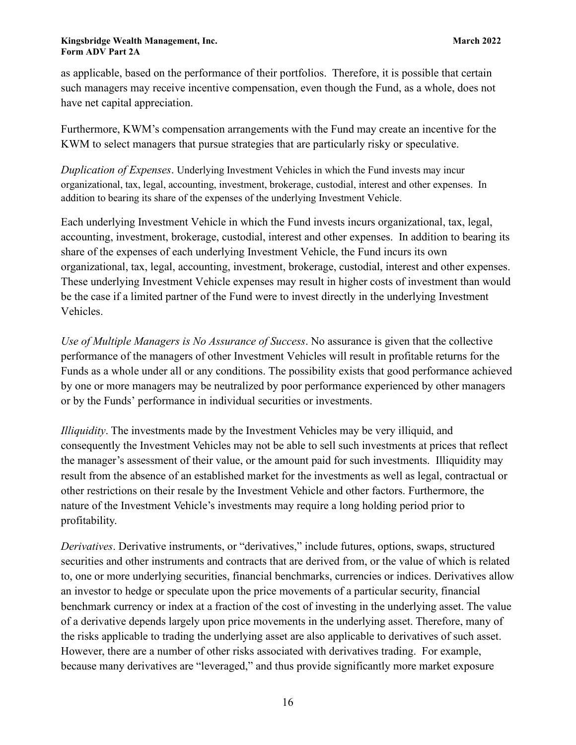as applicable, based on the performance of their portfolios. Therefore, it is possible that certain such managers may receive incentive compensation, even though the Fund, as a whole, does not have net capital appreciation.

Furthermore, KWM's compensation arrangements with the Fund may create an incentive for the KWM to select managers that pursue strategies that are particularly risky or speculative.

*Duplication of Expenses*. Underlying Investment Vehicles in which the Fund invests may incur organizational, tax, legal, accounting, investment, brokerage, custodial, interest and other expenses. In addition to bearing its share of the expenses of the underlying Investment Vehicle.

Each underlying Investment Vehicle in which the Fund invests incurs organizational, tax, legal, accounting, investment, brokerage, custodial, interest and other expenses. In addition to bearing its share of the expenses of each underlying Investment Vehicle, the Fund incurs its own organizational, tax, legal, accounting, investment, brokerage, custodial, interest and other expenses. These underlying Investment Vehicle expenses may result in higher costs of investment than would be the case if a limited partner of the Fund were to invest directly in the underlying Investment Vehicles.

*Use of Multiple Managers is No Assurance of Success*. No assurance is given that the collective performance of the managers of other Investment Vehicles will result in profitable returns for the Funds as a whole under all or any conditions. The possibility exists that good performance achieved by one or more managers may be neutralized by poor performance experienced by other managers or by the Funds' performance in individual securities or investments.

*Illiquidity*. The investments made by the Investment Vehicles may be very illiquid, and consequently the Investment Vehicles may not be able to sell such investments at prices that reflect the manager's assessment of their value, or the amount paid for such investments. Illiquidity may result from the absence of an established market for the investments as well as legal, contractual or other restrictions on their resale by the Investment Vehicle and other factors. Furthermore, the nature of the Investment Vehicle's investments may require a long holding period prior to profitability.

*Derivatives*. Derivative instruments, or "derivatives," include futures, options, swaps, structured securities and other instruments and contracts that are derived from, or the value of which is related to, one or more underlying securities, financial benchmarks, currencies or indices. Derivatives allow an investor to hedge or speculate upon the price movements of a particular security, financial benchmark currency or index at a fraction of the cost of investing in the underlying asset. The value of a derivative depends largely upon price movements in the underlying asset. Therefore, many of the risks applicable to trading the underlying asset are also applicable to derivatives of such asset. However, there are a number of other risks associated with derivatives trading. For example, because many derivatives are "leveraged," and thus provide significantly more market exposure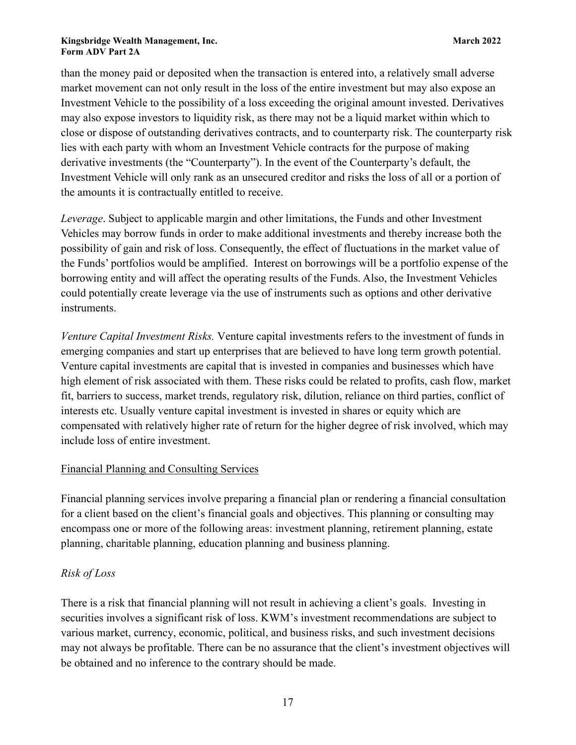than the money paid or deposited when the transaction is entered into, a relatively small adverse market movement can not only result in the loss of the entire investment but may also expose an Investment Vehicle to the possibility of a loss exceeding the original amount invested. Derivatives may also expose investors to liquidity risk, as there may not be a liquid market within which to close or dispose of outstanding derivatives contracts, and to counterparty risk. The counterparty risk lies with each party with whom an Investment Vehicle contracts for the purpose of making derivative investments (the "Counterparty"). In the event of the Counterparty's default, the Investment Vehicle will only rank as an unsecured creditor and risks the loss of all or a portion of the amounts it is contractually entitled to receive.

*Leverage*. Subject to applicable margin and other limitations, the Funds and other Investment Vehicles may borrow funds in order to make additional investments and thereby increase both the possibility of gain and risk of loss. Consequently, the effect of fluctuations in the market value of the Funds' portfolios would be amplified. Interest on borrowings will be a portfolio expense of the borrowing entity and will affect the operating results of the Funds. Also, the Investment Vehicles could potentially create leverage via the use of instruments such as options and other derivative instruments.

*Venture Capital Investment Risks.* Venture capital investments refers to the investment of funds in emerging companies and start up enterprises that are believed to have long term growth potential. Venture capital investments are capital that is invested in companies and businesses which have high element of risk associated with them. These risks could be related to profits, cash flow, market fit, barriers to success, market trends, regulatory risk, dilution, reliance on third parties, conflict of interests etc. Usually venture capital investment is invested in shares or equity which are compensated with relatively higher rate of return for the higher degree of risk involved, which may include loss of entire investment.

# Financial Planning and Consulting Services

Financial planning services involve preparing a financial plan or rendering a financial consultation for a client based on the client's financial goals and objectives. This planning or consulting may encompass one or more of the following areas: investment planning, retirement planning, estate planning, charitable planning, education planning and business planning.

# *Risk of Loss*

There is a risk that financial planning will not result in achieving a client's goals. Investing in securities involves a significant risk of loss. KWM's investment recommendations are subject to various market, currency, economic, political, and business risks, and such investment decisions may not always be profitable. There can be no assurance that the client's investment objectives will be obtained and no inference to the contrary should be made.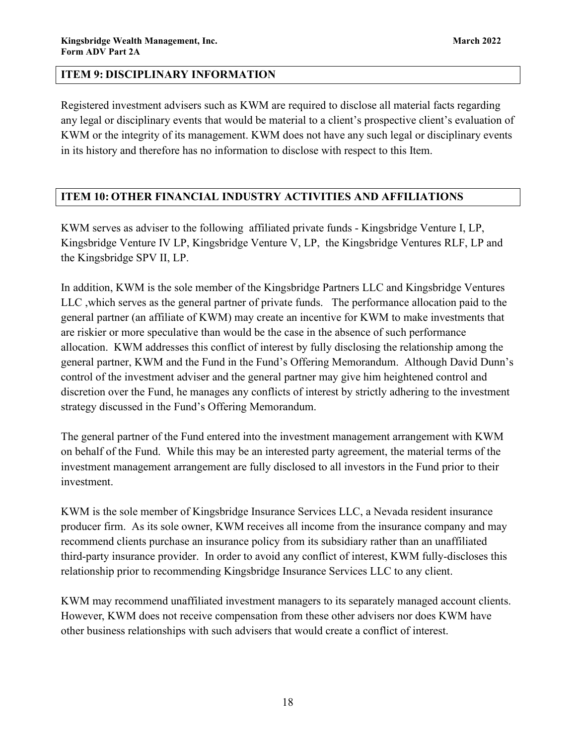# <span id="page-17-0"></span>**ITEM 9: DISCIPLINARY INFORMATION**

Registered investment advisers such as KWM are required to disclose all material facts regarding any legal or disciplinary events that would be material to a client's prospective client's evaluation of KWM or the integrity of its management. KWM does not have any such legal or disciplinary events in its history and therefore has no information to disclose with respect to this Item.

# <span id="page-17-1"></span>**ITEM 10: OTHER FINANCIAL INDUSTRY ACTIVITIES AND AFFILIATIONS**

KWM serves as adviser to the following affiliated private funds - Kingsbridge Venture I, LP, Kingsbridge Venture IV LP, Kingsbridge Venture V, LP, the Kingsbridge Ventures RLF, LP and the Kingsbridge SPV II, LP.

In addition, KWM is the sole member of the Kingsbridge Partners LLC and Kingsbridge Ventures LLC ,which serves as the general partner of private funds. The performance allocation paid to the general partner (an affiliate of KWM) may create an incentive for KWM to make investments that are riskier or more speculative than would be the case in the absence of such performance allocation. KWM addresses this conflict of interest by fully disclosing the relationship among the general partner, KWM and the Fund in the Fund's Offering Memorandum. Although David Dunn's control of the investment adviser and the general partner may give him heightened control and discretion over the Fund, he manages any conflicts of interest by strictly adhering to the investment strategy discussed in the Fund's Offering Memorandum.

The general partner of the Fund entered into the investment management arrangement with KWM on behalf of the Fund. While this may be an interested party agreement, the material terms of the investment management arrangement are fully disclosed to all investors in the Fund prior to their investment.

KWM is the sole member of Kingsbridge Insurance Services LLC, a Nevada resident insurance producer firm. As its sole owner, KWM receives all income from the insurance company and may recommend clients purchase an insurance policy from its subsidiary rather than an unaffiliated third-party insurance provider. In order to avoid any conflict of interest, KWM fully-discloses this relationship prior to recommending Kingsbridge Insurance Services LLC to any client.

KWM may recommend unaffiliated investment managers to its separately managed account clients. However, KWM does not receive compensation from these other advisers nor does KWM have other business relationships with such advisers that would create a conflict of interest.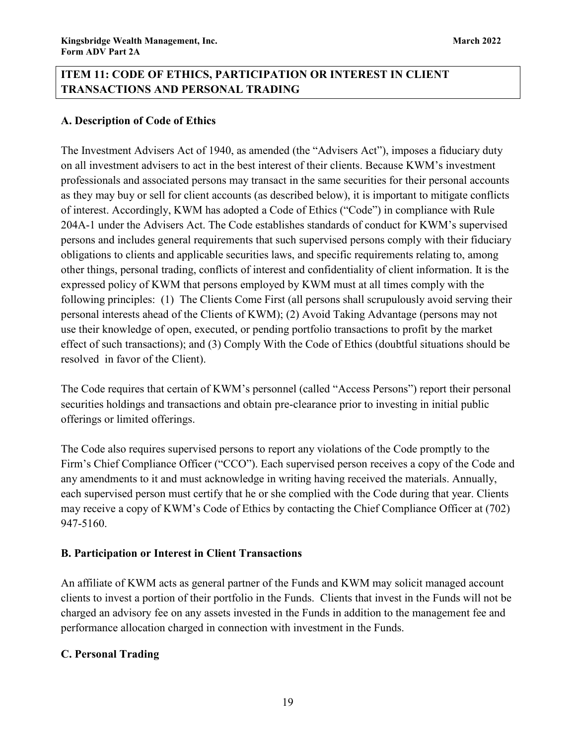# <span id="page-18-1"></span><span id="page-18-0"></span>**ITEM 11: CODE OF ETHICS, PARTICIPATION OR INTEREST IN CLIENT TRANSACTIONS AND PERSONAL TRADING**

# **A. Description of Code of Ethics**

The Investment Advisers Act of 1940, as amended (the "Advisers Act"), imposes a fiduciary duty on all investment advisers to act in the best interest of their clients. Because KWM's investment professionals and associated persons may transact in the same securities for their personal accounts as they may buy or sell for client accounts (as described below), it is important to mitigate conflicts of interest. Accordingly, KWM has adopted a Code of Ethics ("Code") in compliance with Rule 204A-1 under the Advisers Act. The Code establishes standards of conduct for KWM's supervised persons and includes general requirements that such supervised persons comply with their fiduciary obligations to clients and applicable securities laws, and specific requirements relating to, among other things, personal trading, conflicts of interest and confidentiality of client information. It is the expressed policy of KWM that persons employed by KWM must at all times comply with the following principles: (1) The Clients Come First (all persons shall scrupulously avoid serving their personal interests ahead of the Clients of KWM); (2) Avoid Taking Advantage (persons may not use their knowledge of open, executed, or pending portfolio transactions to profit by the market effect of such transactions); and (3) Comply With the Code of Ethics (doubtful situations should be resolved in favor of the Client).

The Code requires that certain of KWM's personnel (called "Access Persons") report their personal securities holdings and transactions and obtain pre-clearance prior to investing in initial public offerings or limited offerings.

The Code also requires supervised persons to report any violations of the Code promptly to the Firm's Chief Compliance Officer ("CCO"). Each supervised person receives a copy of the Code and any amendments to it and must acknowledge in writing having received the materials. Annually, each supervised person must certify that he or she complied with the Code during that year. Clients may receive a copy of KWM's Code of Ethics by contacting the Chief Compliance Officer at (702) 947-5160.

### **B. Participation or Interest in Client Transactions**

An affiliate of KWM acts as general partner of the Funds and KWM may solicit managed account clients to invest a portion of their portfolio in the Funds.Clients that invest in the Funds will not be charged an advisory fee on any assets invested in the Funds in addition to the management fee and performance allocation charged in connection with investment in the Funds.

# **C. Personal Trading**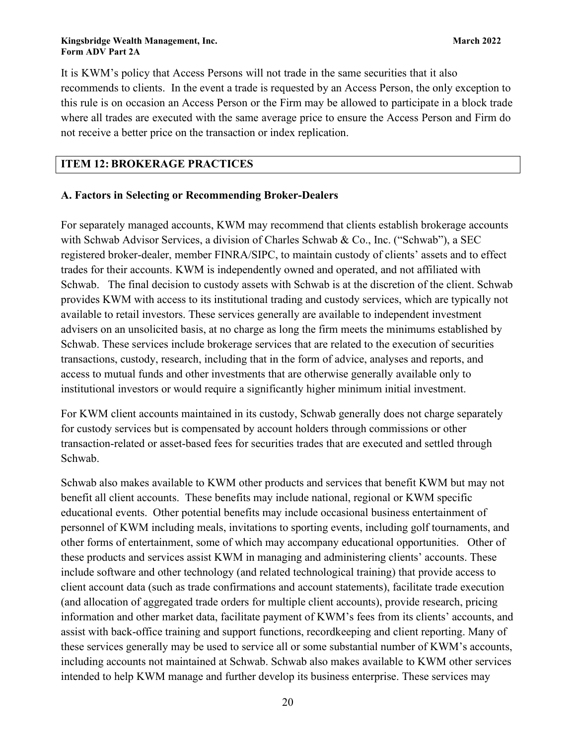It is KWM's policy that Access Persons will not trade in the same securities that it also recommends to clients. In the event a trade is requested by an Access Person, the only exception to this rule is on occasion an Access Person or the Firm may be allowed to participate in a block trade where all trades are executed with the same average price to ensure the Access Person and Firm do not receive a better price on the transaction or index replication.

## <span id="page-19-0"></span>**ITEM 12: BROKERAGE PRACTICES**

### **A. Factors in Selecting or Recommending Broker-Dealers**

For separately managed accounts, KWM may recommend that clients establish brokerage accounts with Schwab Advisor Services, a division of Charles Schwab & Co., Inc. ("Schwab"), a SEC registered broker-dealer, member FINRA/SIPC, to maintain custody of clients' assets and to effect trades for their accounts. KWM is independently owned and operated, and not affiliated with Schwab. The final decision to custody assets with Schwab is at the discretion of the client. Schwab provides KWM with access to its institutional trading and custody services, which are typically not available to retail investors. These services generally are available to independent investment advisers on an unsolicited basis, at no charge as long the firm meets the minimums established by Schwab. These services include brokerage services that are related to the execution of securities transactions, custody, research, including that in the form of advice, analyses and reports, and access to mutual funds and other investments that are otherwise generally available only to institutional investors or would require a significantly higher minimum initial investment.

For KWM client accounts maintained in its custody, Schwab generally does not charge separately for custody services but is compensated by account holders through commissions or other transaction-related or asset-based fees for securities trades that are executed and settled through Schwab.

Schwab also makes available to KWM other products and services that benefit KWM but may not benefit all client accounts. These benefits may include national, regional or KWM specific educational events. Other potential benefits may include occasional business entertainment of personnel of KWM including meals, invitations to sporting events, including golf tournaments, and other forms of entertainment, some of which may accompany educational opportunities. Other of these products and services assist KWM in managing and administering clients' accounts. These include software and other technology (and related technological training) that provide access to client account data (such as trade confirmations and account statements), facilitate trade execution (and allocation of aggregated trade orders for multiple client accounts), provide research, pricing information and other market data, facilitate payment of KWM's fees from its clients' accounts, and assist with back-office training and support functions, recordkeeping and client reporting. Many of these services generally may be used to service all or some substantial number of KWM's accounts, including accounts not maintained at Schwab. Schwab also makes available to KWM other services intended to help KWM manage and further develop its business enterprise. These services may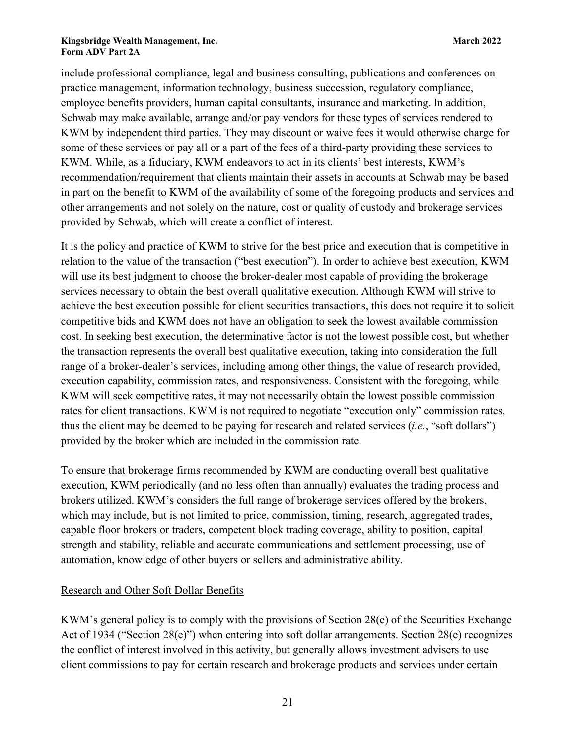include professional compliance, legal and business consulting, publications and conferences on practice management, information technology, business succession, regulatory compliance, employee benefits providers, human capital consultants, insurance and marketing. In addition, Schwab may make available, arrange and/or pay vendors for these types of services rendered to KWM by independent third parties. They may discount or waive fees it would otherwise charge for some of these services or pay all or a part of the fees of a third-party providing these services to KWM. While, as a fiduciary, KWM endeavors to act in its clients' best interests, KWM's recommendation/requirement that clients maintain their assets in accounts at Schwab may be based in part on the benefit to KWM of the availability of some of the foregoing products and services and other arrangements and not solely on the nature, cost or quality of custody and brokerage services provided by Schwab, which will create a conflict of interest.

It is the policy and practice of KWM to strive for the best price and execution that is competitive in relation to the value of the transaction ("best execution"). In order to achieve best execution, KWM will use its best judgment to choose the broker-dealer most capable of providing the brokerage services necessary to obtain the best overall qualitative execution. Although KWM will strive to achieve the best execution possible for client securities transactions, this does not require it to solicit competitive bids and KWM does not have an obligation to seek the lowest available commission cost. In seeking best execution, the determinative factor is not the lowest possible cost, but whether the transaction represents the overall best qualitative execution, taking into consideration the full range of a broker-dealer's services, including among other things, the value of research provided, execution capability, commission rates, and responsiveness. Consistent with the foregoing, while KWM will seek competitive rates, it may not necessarily obtain the lowest possible commission rates for client transactions. KWM is not required to negotiate "execution only" commission rates, thus the client may be deemed to be paying for research and related services (*i.e.*, "soft dollars") provided by the broker which are included in the commission rate.

To ensure that brokerage firms recommended by KWM are conducting overall best qualitative execution, KWM periodically (and no less often than annually) evaluates the trading process and brokers utilized. KWM's considers the full range of brokerage services offered by the brokers, which may include, but is not limited to price, commission, timing, research, aggregated trades, capable floor brokers or traders, competent block trading coverage, ability to position, capital strength and stability, reliable and accurate communications and settlement processing, use of automation, knowledge of other buyers or sellers and administrative ability.

### Research and Other Soft Dollar Benefits

KWM's general policy is to comply with the provisions of Section 28(e) of the Securities Exchange Act of 1934 ("Section 28(e)") when entering into soft dollar arrangements. Section 28(e) recognizes the conflict of interest involved in this activity, but generally allows investment advisers to use client commissions to pay for certain research and brokerage products and services under certain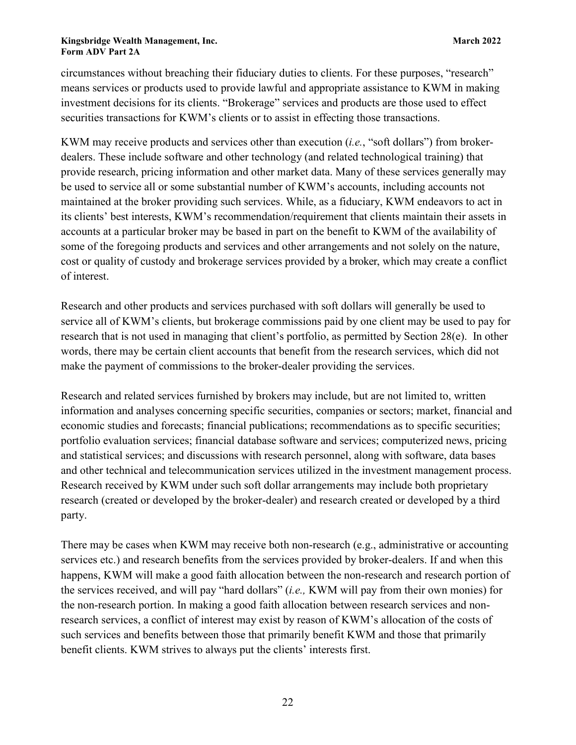circumstances without breaching their fiduciary duties to clients. For these purposes, "research" means services or products used to provide lawful and appropriate assistance to KWM in making investment decisions for its clients. "Brokerage" services and products are those used to effect securities transactions for KWM's clients or to assist in effecting those transactions.

KWM may receive products and services other than execution (*i.e.*, "soft dollars") from brokerdealers. These include software and other technology (and related technological training) that provide research, pricing information and other market data. Many of these services generally may be used to service all or some substantial number of KWM's accounts, including accounts not maintained at the broker providing such services. While, as a fiduciary, KWM endeavors to act in its clients' best interests, KWM's recommendation/requirement that clients maintain their assets in accounts at a particular broker may be based in part on the benefit to KWM of the availability of some of the foregoing products and services and other arrangements and not solely on the nature, cost or quality of custody and brokerage services provided by a broker, which may create a conflict of interest.

Research and other products and services purchased with soft dollars will generally be used to service all of KWM's clients, but brokerage commissions paid by one client may be used to pay for research that is not used in managing that client's portfolio, as permitted by Section 28(e). In other words, there may be certain client accounts that benefit from the research services, which did not make the payment of commissions to the broker-dealer providing the services.

Research and related services furnished by brokers may include, but are not limited to, written information and analyses concerning specific securities, companies or sectors; market, financial and economic studies and forecasts; financial publications; recommendations as to specific securities; portfolio evaluation services; financial database software and services; computerized news, pricing and statistical services; and discussions with research personnel, along with software, data bases and other technical and telecommunication services utilized in the investment management process. Research received by KWM under such soft dollar arrangements may include both proprietary research (created or developed by the broker-dealer) and research created or developed by a third party.

There may be cases when KWM may receive both non-research (e.g., administrative or accounting services etc.) and research benefits from the services provided by broker-dealers. If and when this happens, KWM will make a good faith allocation between the non-research and research portion of the services received, and will pay "hard dollars" (*i.e.,* KWM will pay from their own monies) for the non-research portion. In making a good faith allocation between research services and nonresearch services, a conflict of interest may exist by reason of KWM's allocation of the costs of such services and benefits between those that primarily benefit KWM and those that primarily benefit clients. KWM strives to always put the clients' interests first.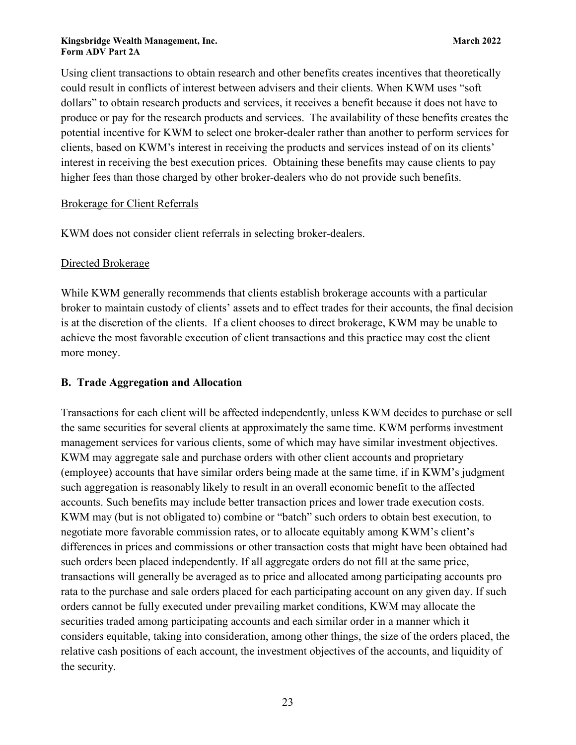Using client transactions to obtain research and other benefits creates incentives that theoretically could result in conflicts of interest between advisers and their clients. When KWM uses "soft dollars" to obtain research products and services, it receives a benefit because it does not have to produce or pay for the research products and services. The availability of these benefits creates the potential incentive for KWM to select one broker-dealer rather than another to perform services for clients, based on KWM's interest in receiving the products and services instead of on its clients' interest in receiving the best execution prices. Obtaining these benefits may cause clients to pay higher fees than those charged by other broker-dealers who do not provide such benefits.

# Brokerage for Client Referrals

KWM does not consider client referrals in selecting broker-dealers.

# Directed Brokerage

While KWM generally recommends that clients establish brokerage accounts with a particular broker to maintain custody of clients' assets and to effect trades for their accounts, the final decision is at the discretion of the clients. If a client chooses to direct brokerage, KWM may be unable to achieve the most favorable execution of client transactions and this practice may cost the client more money.

# **B. Trade Aggregation and Allocation**

Transactions for each client will be affected independently, unless KWM decides to purchase or sell the same securities for several clients at approximately the same time. KWM performs investment management services for various clients, some of which may have similar investment objectives. KWM may aggregate sale and purchase orders with other client accounts and proprietary (employee) accounts that have similar orders being made at the same time, if in KWM's judgment such aggregation is reasonably likely to result in an overall economic benefit to the affected accounts. Such benefits may include better transaction prices and lower trade execution costs. KWM may (but is not obligated to) combine or "batch" such orders to obtain best execution, to negotiate more favorable commission rates, or to allocate equitably among KWM's client's differences in prices and commissions or other transaction costs that might have been obtained had such orders been placed independently. If all aggregate orders do not fill at the same price, transactions will generally be averaged as to price and allocated among participating accounts pro rata to the purchase and sale orders placed for each participating account on any given day. If such orders cannot be fully executed under prevailing market conditions, KWM may allocate the securities traded among participating accounts and each similar order in a manner which it considers equitable, taking into consideration, among other things, the size of the orders placed, the relative cash positions of each account, the investment objectives of the accounts, and liquidity of the security.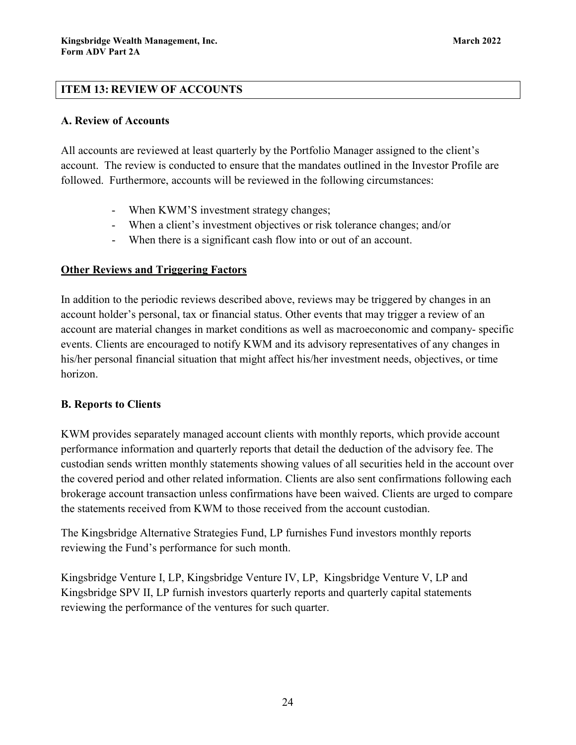# <span id="page-23-0"></span>**ITEM 13: REVIEW OF ACCOUNTS**

### **A. Review of Accounts**

All accounts are reviewed at least quarterly by the Portfolio Manager assigned to the client's account. The review is conducted to ensure that the mandates outlined in the Investor Profile are followed. Furthermore, accounts will be reviewed in the following circumstances:

- When KWM'S investment strategy changes;
- When a client's investment objectives or risk tolerance changes; and/or
- When there is a significant cash flow into or out of an account.

# **Other Reviews and Triggering Factors**

In addition to the periodic reviews described above, reviews may be triggered by changes in an account holder's personal, tax or financial status. Other events that may trigger a review of an account are material changes in market conditions as well as macroeconomic and company- specific events. Clients are encouraged to notify KWM and its advisory representatives of any changes in his/her personal financial situation that might affect his/her investment needs, objectives, or time horizon.

# **B. Reports to Clients**

KWM provides separately managed account clients with monthly reports, which provide account performance information and quarterly reports that detail the deduction of the advisory fee. The custodian sends written monthly statements showing values of all securities held in the account over the covered period and other related information. Clients are also sent confirmations following each brokerage account transaction unless confirmations have been waived. Clients are urged to compare the statements received from KWM to those received from the account custodian.

The Kingsbridge Alternative Strategies Fund, LP furnishes Fund investors monthly reports reviewing the Fund's performance for such month.

Kingsbridge Venture I, LP, Kingsbridge Venture IV, LP, Kingsbridge Venture V, LP and Kingsbridge SPV II, LP furnish investors quarterly reports and quarterly capital statements reviewing the performance of the ventures for such quarter.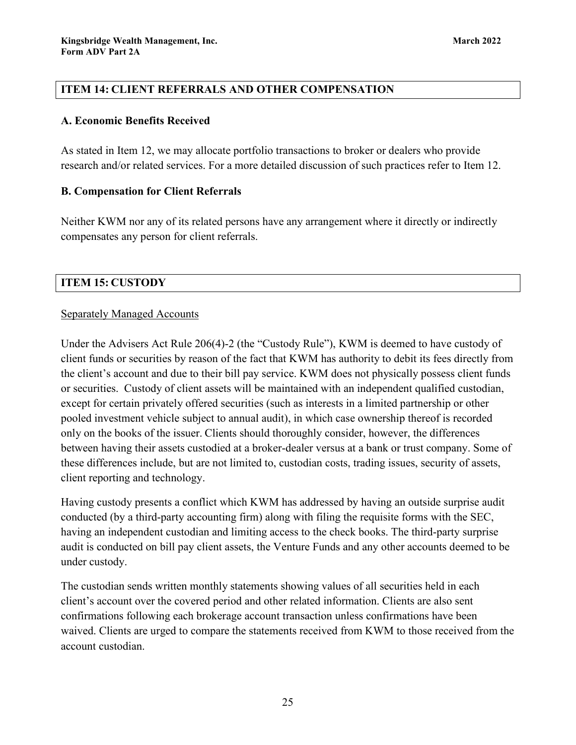# <span id="page-24-0"></span>**ITEM 14: CLIENT REFERRALS AND OTHER COMPENSATION**

## **A. Economic Benefits Received**

As stated in Item 12, we may allocate portfolio transactions to broker or dealers who provide research and/or related services. For a more detailed discussion of such practices refer to Item 12.

# **B. Compensation for Client Referrals**

Neither KWM nor any of its related persons have any arrangement where it directly or indirectly compensates any person for client referrals.

# <span id="page-24-1"></span>**ITEM 15: CUSTODY**

# Separately Managed Accounts

Under the Advisers Act Rule 206(4)-2 (the "Custody Rule"), KWM is deemed to have custody of client funds or securities by reason of the fact that KWM has authority to debit its fees directly from the client's account and due to their bill pay service. KWM does not physically possess client funds or securities. Custody of client assets will be maintained with an independent qualified custodian, except for certain privately offered securities (such as interests in a limited partnership or other pooled investment vehicle subject to annual audit), in which case ownership thereof is recorded only on the books of the issuer. Clients should thoroughly consider, however, the differences between having their assets custodied at a broker-dealer versus at a bank or trust company. Some of these differences include, but are not limited to, custodian costs, trading issues, security of assets, client reporting and technology.

Having custody presents a conflict which KWM has addressed by having an outside surprise audit conducted (by a third-party accounting firm) along with filing the requisite forms with the SEC, having an independent custodian and limiting access to the check books. The third-party surprise audit is conducted on bill pay client assets, the Venture Funds and any other accounts deemed to be under custody.

The custodian sends written monthly statements showing values of all securities held in each client's account over the covered period and other related information. Clients are also sent confirmations following each brokerage account transaction unless confirmations have been waived. Clients are urged to compare the statements received from KWM to those received from the account custodian.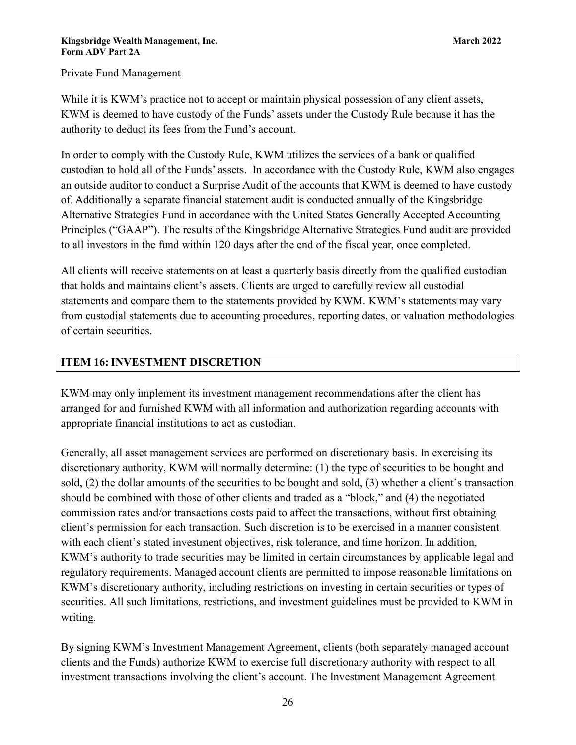# Private Fund Management

While it is KWM's practice not to accept or maintain physical possession of any client assets, KWM is deemed to have custody of the Funds' assets under the Custody Rule because it has the authority to deduct its fees from the Fund's account.

In order to comply with the Custody Rule, KWM utilizes the services of a bank or qualified custodian to hold all of the Funds' assets. In accordance with the Custody Rule, KWM also engages an outside auditor to conduct a Surprise Audit of the accounts that KWM is deemed to have custody of. Additionally a separate financial statement audit is conducted annually of the Kingsbridge Alternative Strategies Fund in accordance with the United States Generally Accepted Accounting Principles ("GAAP"). The results of the Kingsbridge Alternative Strategies Fund audit are provided to all investors in the fund within 120 days after the end of the fiscal year, once completed.

All clients will receive statements on at least a quarterly basis directly from the qualified custodian that holds and maintains client's assets. Clients are urged to carefully review all custodial statements and compare them to the statements provided by KWM. KWM's statements may vary from custodial statements due to accounting procedures, reporting dates, or valuation methodologies of certain securities.

# <span id="page-25-0"></span>**ITEM 16:INVESTMENT DISCRETION**

KWM may only implement its investment management recommendations after the client has arranged for and furnished KWM with all information and authorization regarding accounts with appropriate financial institutions to act as custodian.

Generally, all asset management services are performed on discretionary basis. In exercising its discretionary authority, KWM will normally determine: (1) the type of securities to be bought and sold, (2) the dollar amounts of the securities to be bought and sold, (3) whether a client's transaction should be combined with those of other clients and traded as a "block," and (4) the negotiated commission rates and/or transactions costs paid to affect the transactions, without first obtaining client's permission for each transaction. Such discretion is to be exercised in a manner consistent with each client's stated investment objectives, risk tolerance, and time horizon. In addition, KWM's authority to trade securities may be limited in certain circumstances by applicable legal and regulatory requirements. Managed account clients are permitted to impose reasonable limitations on KWM's discretionary authority, including restrictions on investing in certain securities or types of securities. All such limitations, restrictions, and investment guidelines must be provided to KWM in writing.

By signing KWM's Investment Management Agreement, clients (both separately managed account clients and the Funds) authorize KWM to exercise full discretionary authority with respect to all investment transactions involving the client's account. The Investment Management Agreement